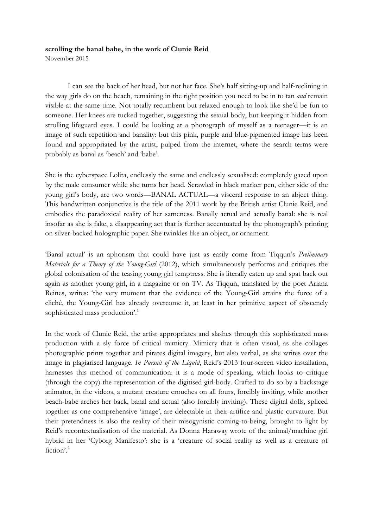## **scrolling the banal babe, in the work of Clunie Reid**

November 2015

I can see the back of her head, but not her face. She's half sitting-up and half-reclining in the way girls do on the beach, remaining in the right position you need to be in to tan *and* remain visible at the same time. Not totally recumbent but relaxed enough to look like she'd be fun to someone. Her knees are tucked together, suggesting the sexual body, but keeping it hidden from strolling lifeguard eyes. I could be looking at a photograph of myself as a teenager—it is an image of such repetition and banality: but this pink, purple and blue-pigmented image has been found and appropriated by the artist, pulped from the internet, where the search terms were probably as banal as 'beach' and 'babe'.

She is the cyberspace Lolita, endlessly the same and endlessly sexualised: completely gazed upon by the male consumer while she turns her head. Scrawled in black marker pen, either side of the young girl's body, are two words—BANAL ACTUAL—a visceral response to an abject thing. This handwritten conjunctive is the title of the 2011 work by the British artist Clunie Reid, and embodies the paradoxical reality of her sameness. Banally actual and actually banal: she is real insofar as she is fake, a disappearing act that is further accentuated by the photograph's printing on silver-backed holographic paper. She twinkles like an object, or ornament.

'Banal actual' is an aphorism that could have just as easily come from Tiqqun's *Preliminary Materials for a Theory of the Young-Girl* (2012), which simultaneously performs and critiques the global colonisation of the teasing young girl temptress. She is literally eaten up and spat back out again as another young girl, in a magazine or on TV. As Tiqqun, translated by the poet Ariana Reines, writes: 'the very moment that the evidence of the Young-Girl attains the force of a cliché, the Young-Girl has already overcome it, at least in her primitive aspect of obscenely sophisticated mass production'. 1

In the work of Clunie Reid, the artist appropriates and slashes through this sophisticated mass production with a sly force of critical mimicry. Mimicry that is often visual, as she collages photographic prints together and pirates digital imagery, but also verbal, as she writes over the image in plagiarised language. *In Pursuit of the Liquid*, Reid's 2013 four-screen video installation, harnesses this method of communication: it is a mode of speaking, which looks to critique (through the copy) the representation of the digitised girl-body. Crafted to do so by a backstage animator, in the videos, a mutant creature crouches on all fours, forcibly inviting, while another beach-babe arches her back, banal and actual (also forcibly inviting). These digital dolls, spliced together as one comprehensive 'image', are delectable in their artifice and plastic curvature. But their pretendness is also the reality of their misogynistic coming-to-being, brought to light by Reid's recontextualisation of the material. As Donna Haraway wrote of the animal/machine girl hybrid in her 'Cyborg Manifesto': she is a 'creature of social reality as well as a creature of fiction'. 2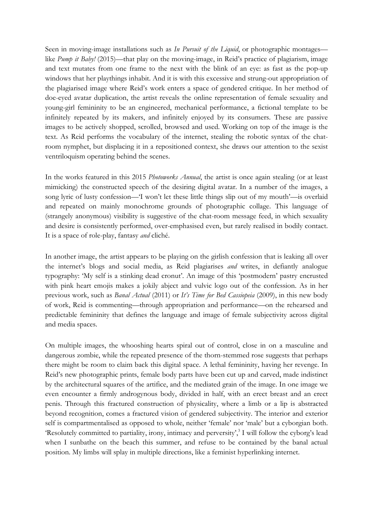Seen in moving-image installations such as *In Pursuit of the Liquid*, or photographic montages like *Pump it Baby!* (2015)—that play on the moving-image, in Reid's practice of plagiarism, image and text mutates from one frame to the next with the blink of an eye: as fast as the pop-up windows that her playthings inhabit. And it is with this excessive and strung-out appropriation of the plagiarised image where Reid's work enters a space of gendered critique. In her method of doe-eyed avatar duplication, the artist reveals the online representation of female sexuality and young-girl femininity to be an engineered, mechanical performance, a fictional template to be infinitely repeated by its makers, and infinitely enjoyed by its consumers. These are passive images to be actively shopped, scrolled, browsed and used. Working on top of the image is the text. As Reid performs the vocabulary of the internet, stealing the robotic syntax of the chatroom nymphet, but displacing it in a repositioned context, she draws our attention to the sexist ventriloquism operating behind the scenes.

In the works featured in this 2015 *Photoworks Annual*, the artist is once again stealing (or at least mimicking) the constructed speech of the desiring digital avatar. In a number of the images, a song lyric of lusty confession—'I won't let these little things slip out of my mouth'—is overlaid and repeated on mainly monochrome grounds of photographic collage. This language of (strangely anonymous) visibility is suggestive of the chat-room message feed, in which sexuality and desire is consistently performed, over-emphasised even, but rarely realised in bodily contact. It is a space of role-play, fantasy *and* cliché.

In another image, the artist appears to be playing on the girlish confession that is leaking all over the internet's blogs and social media, as Reid plagiarises *and* writes, in defiantly analogue typography: 'My self is a stinking dead cronut'. An image of this 'postmodern' pastry encrusted with pink heart emojis makes a jokily abject and vulvic logo out of the confession. As in her previous work, such as *Banal Actual* (2011) or *It's Time for Bed Cassiopeia* (2009), in this new body of work, Reid is commenting—through appropriation and performance—on the rehearsed and predictable femininity that defines the language and image of female subjectivity across digital and media spaces.

On multiple images, the whooshing hearts spiral out of control, close in on a masculine and dangerous zombie, while the repeated presence of the thorn-stemmed rose suggests that perhaps there might be room to claim back this digital space. A lethal femininity, having her revenge. In Reid's new photographic prints, female body parts have been cut up and carved, made indistinct by the architectural squares of the artifice, and the mediated grain of the image. In one image we even encounter a firmly androgynous body, divided in half, with an erect breast and an erect penis. Through this fractured construction of physicality, where a limb or a lip is abstracted beyond recognition, comes a fractured vision of gendered subjectivity. The interior and exterior self is compartmentalised as opposed to whole, neither 'female' nor 'male' but a cyborgian both. 'Resolutely committed to partiality, irony, intimacy and perversity', <sup>3</sup> I will follow the cyborg's lead when I sunbathe on the beach this summer, and refuse to be contained by the banal actual position. My limbs will splay in multiple directions, like a feminist hyperlinking internet.